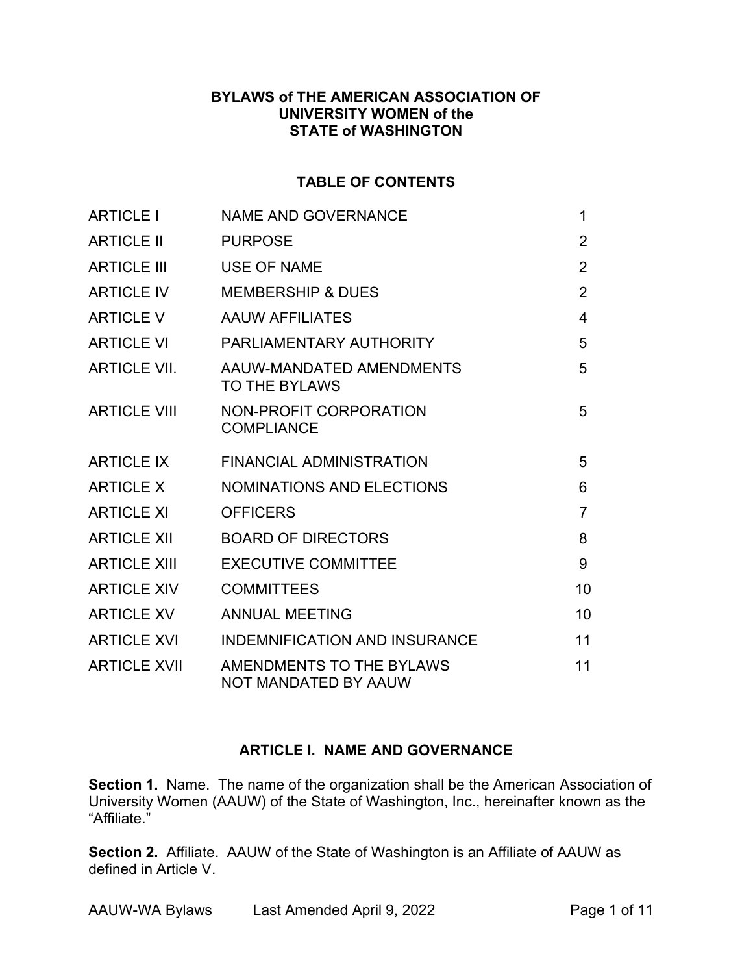#### BYLAWS of THE AMERICAN ASSOCIATION OF UNIVERSITY WOMEN of the STATE of WASHINGTON

#### TABLE OF CONTENTS

| <b>ARTICLE I</b>    | <b>NAME AND GOVERNANCE</b>                       | 1              |
|---------------------|--------------------------------------------------|----------------|
| <b>ARTICLE II</b>   | <b>PURPOSE</b>                                   | 2              |
| <b>ARTICLE III</b>  | <b>USE OF NAME</b>                               | $\overline{2}$ |
| <b>ARTICLE IV</b>   | <b>MEMBERSHIP &amp; DUES</b>                     | $\overline{2}$ |
| <b>ARTICLE V</b>    | <b>AAUW AFFILIATES</b>                           | 4              |
| <b>ARTICLE VI</b>   | PARLIAMENTARY AUTHORITY                          | 5              |
| <b>ARTICLE VII.</b> | AAUW-MANDATED AMENDMENTS<br><b>TO THE BYLAWS</b> | 5              |
| <b>ARTICLE VIII</b> | NON-PROFIT CORPORATION<br><b>COMPLIANCE</b>      | 5              |
| <b>ARTICLE IX</b>   | <b>FINANCIAL ADMINISTRATION</b>                  | 5              |
| <b>ARTICLE X</b>    | <b>NOMINATIONS AND ELECTIONS</b>                 | 6              |
| <b>ARTICLE XI</b>   | <b>OFFICERS</b>                                  | $\overline{7}$ |
| <b>ARTICLE XII</b>  | <b>BOARD OF DIRECTORS</b>                        | 8              |
| <b>ARTICLE XIII</b> | <b>EXECUTIVE COMMITTEE</b>                       | 9              |
| <b>ARTICLE XIV</b>  | <b>COMMITTEES</b>                                | 10             |
| <b>ARTICLE XV</b>   | <b>ANNUAL MEETING</b>                            | 10             |
| <b>ARTICLE XVI</b>  | <b>INDEMNIFICATION AND INSURANCE</b>             | 11             |
| <b>ARTICLE XVII</b> | AMENDMENTS TO THE BYLAWS<br>NOT MANDATED BY AAUW | 11             |

## ARTICLE I. NAME AND GOVERNANCE

Section 1. Name. The name of the organization shall be the American Association of University Women (AAUW) of the State of Washington, Inc., hereinafter known as the "Affiliate."

Section 2. Affiliate. AAUW of the State of Washington is an Affiliate of AAUW as defined in Article V.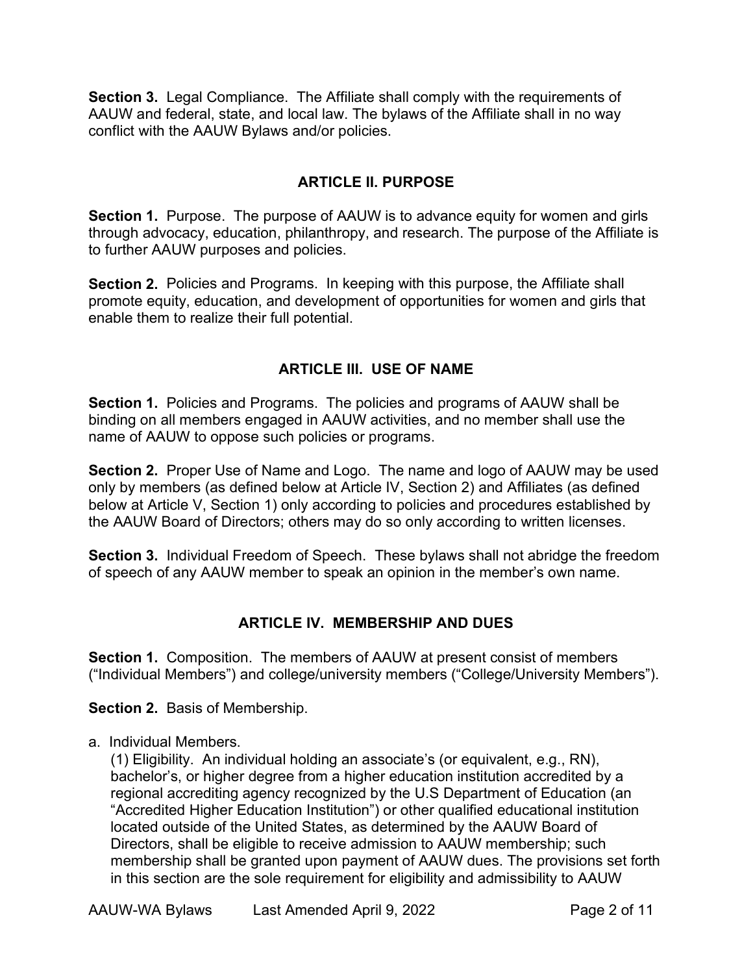Section 3. Legal Compliance. The Affiliate shall comply with the requirements of AAUW and federal, state, and local law. The bylaws of the Affiliate shall in no way conflict with the AAUW Bylaws and/or policies.

#### ARTICLE II. PURPOSE

Section 1. Purpose. The purpose of AAUW is to advance equity for women and girls through advocacy, education, philanthropy, and research. The purpose of the Affiliate is to further AAUW purposes and policies.

Section 2. Policies and Programs. In keeping with this purpose, the Affiliate shall promote equity, education, and development of opportunities for women and girls that enable them to realize their full potential.

#### ARTICLE III. USE OF NAME

Section 1. Policies and Programs. The policies and programs of AAUW shall be binding on all members engaged in AAUW activities, and no member shall use the name of AAUW to oppose such policies or programs.

Section 2. Proper Use of Name and Logo. The name and logo of AAUW may be used only by members (as defined below at Article IV, Section 2) and Affiliates (as defined below at Article V, Section 1) only according to policies and procedures established by the AAUW Board of Directors; others may do so only according to written licenses.

Section 3. Individual Freedom of Speech. These bylaws shall not abridge the freedom of speech of any AAUW member to speak an opinion in the member's own name.

## ARTICLE IV. MEMBERSHIP AND DUES

Section 1. Composition. The members of AAUW at present consist of members ("Individual Members") and college/university members ("College/University Members").

Section 2. Basis of Membership.

a. Individual Members.

(1) Eligibility. An individual holding an associate's (or equivalent, e.g., RN), bachelor's, or higher degree from a higher education institution accredited by a regional accrediting agency recognized by the U.S Department of Education (an "Accredited Higher Education Institution") or other qualified educational institution located outside of the United States, as determined by the AAUW Board of Directors, shall be eligible to receive admission to AAUW membership; such membership shall be granted upon payment of AAUW dues. The provisions set forth in this section are the sole requirement for eligibility and admissibility to AAUW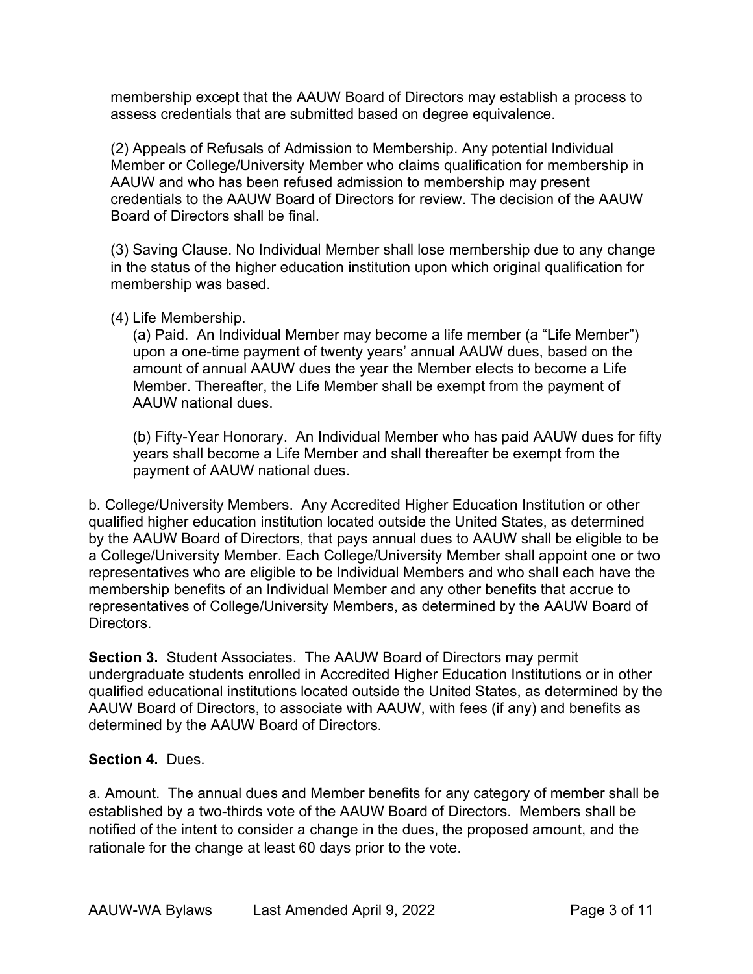membership except that the AAUW Board of Directors may establish a process to assess credentials that are submitted based on degree equivalence.

(2) Appeals of Refusals of Admission to Membership. Any potential Individual Member or College/University Member who claims qualification for membership in AAUW and who has been refused admission to membership may present credentials to the AAUW Board of Directors for review. The decision of the AAUW Board of Directors shall be final.

(3) Saving Clause. No Individual Member shall lose membership due to any change in the status of the higher education institution upon which original qualification for membership was based.

#### (4) Life Membership.

(a) Paid. An Individual Member may become a life member (a "Life Member") upon a one-time payment of twenty years' annual AAUW dues, based on the amount of annual AAUW dues the year the Member elects to become a Life Member. Thereafter, the Life Member shall be exempt from the payment of AAUW national dues.

(b) Fifty-Year Honorary. An Individual Member who has paid AAUW dues for fifty years shall become a Life Member and shall thereafter be exempt from the payment of AAUW national dues.

b. College/University Members. Any Accredited Higher Education Institution or other qualified higher education institution located outside the United States, as determined by the AAUW Board of Directors, that pays annual dues to AAUW shall be eligible to be a College/University Member. Each College/University Member shall appoint one or two representatives who are eligible to be Individual Members and who shall each have the membership benefits of an Individual Member and any other benefits that accrue to representatives of College/University Members, as determined by the AAUW Board of **Directors** 

Section 3. Student Associates. The AAUW Board of Directors may permit undergraduate students enrolled in Accredited Higher Education Institutions or in other qualified educational institutions located outside the United States, as determined by the AAUW Board of Directors, to associate with AAUW, with fees (if any) and benefits as determined by the AAUW Board of Directors.

#### Section 4. Dues.

a. Amount. The annual dues and Member benefits for any category of member shall be established by a two-thirds vote of the AAUW Board of Directors. Members shall be notified of the intent to consider a change in the dues, the proposed amount, and the rationale for the change at least 60 days prior to the vote.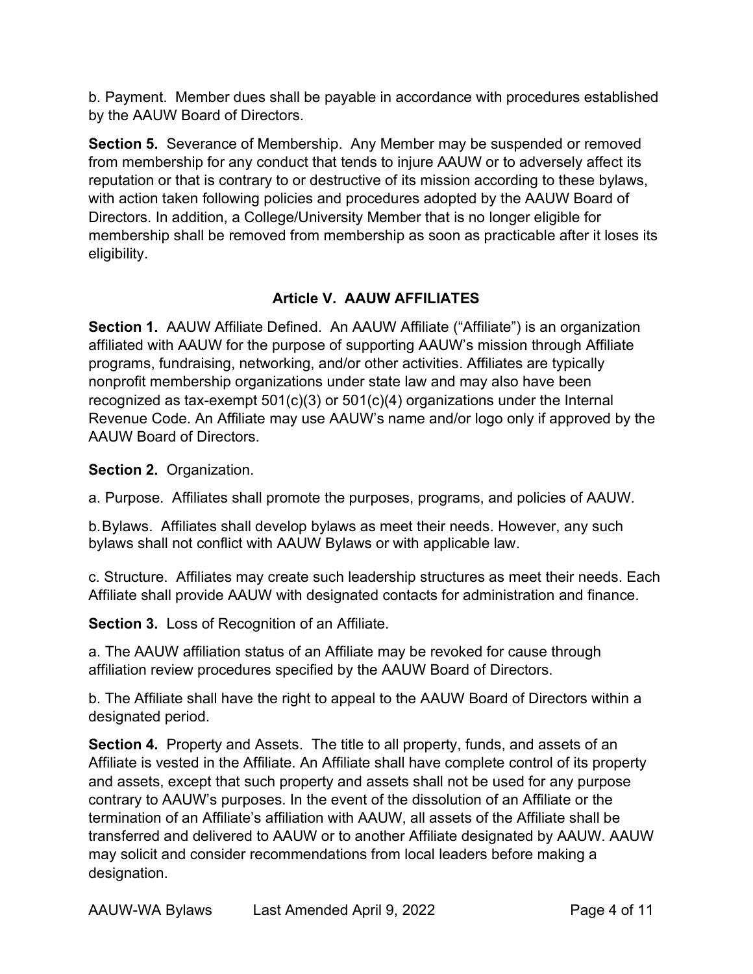b. Payment. Member dues shall be payable in accordance with procedures established by the AAUW Board of Directors.

Section 5. Severance of Membership. Any Member may be suspended or removed from membership for any conduct that tends to injure AAUW or to adversely affect its reputation or that is contrary to or destructive of its mission according to these bylaws, with action taken following policies and procedures adopted by the AAUW Board of Directors. In addition, a College/University Member that is no longer eligible for membership shall be removed from membership as soon as practicable after it loses its eligibility.

# Article V. AAUW AFFILIATES

Section 1. AAUW Affiliate Defined. An AAUW Affiliate ("Affiliate") is an organization affiliated with AAUW for the purpose of supporting AAUW's mission through Affiliate programs, fundraising, networking, and/or other activities. Affiliates are typically nonprofit membership organizations under state law and may also have been recognized as tax-exempt  $501(c)(3)$  or  $501(c)(4)$  organizations under the Internal Revenue Code. An Affiliate may use AAUW's name and/or logo only if approved by the AAUW Board of Directors.

Section 2. Organization.

a. Purpose. Affiliates shall promote the purposes, programs, and policies of AAUW.

b. Bylaws. Affiliates shall develop bylaws as meet their needs. However, any such bylaws shall not conflict with AAUW Bylaws or with applicable law.

c. Structure. Affiliates may create such leadership structures as meet their needs. Each Affiliate shall provide AAUW with designated contacts for administration and finance.

Section 3. Loss of Recognition of an Affiliate.

a. The AAUW affiliation status of an Affiliate may be revoked for cause through affiliation review procedures specified by the AAUW Board of Directors.

b. The Affiliate shall have the right to appeal to the AAUW Board of Directors within a designated period.

Section 4. Property and Assets. The title to all property, funds, and assets of an Affiliate is vested in the Affiliate. An Affiliate shall have complete control of its property and assets, except that such property and assets shall not be used for any purpose contrary to AAUW's purposes. In the event of the dissolution of an Affiliate or the termination of an Affiliate's affiliation with AAUW, all assets of the Affiliate shall be transferred and delivered to AAUW or to another Affiliate designated by AAUW. AAUW may solicit and consider recommendations from local leaders before making a designation.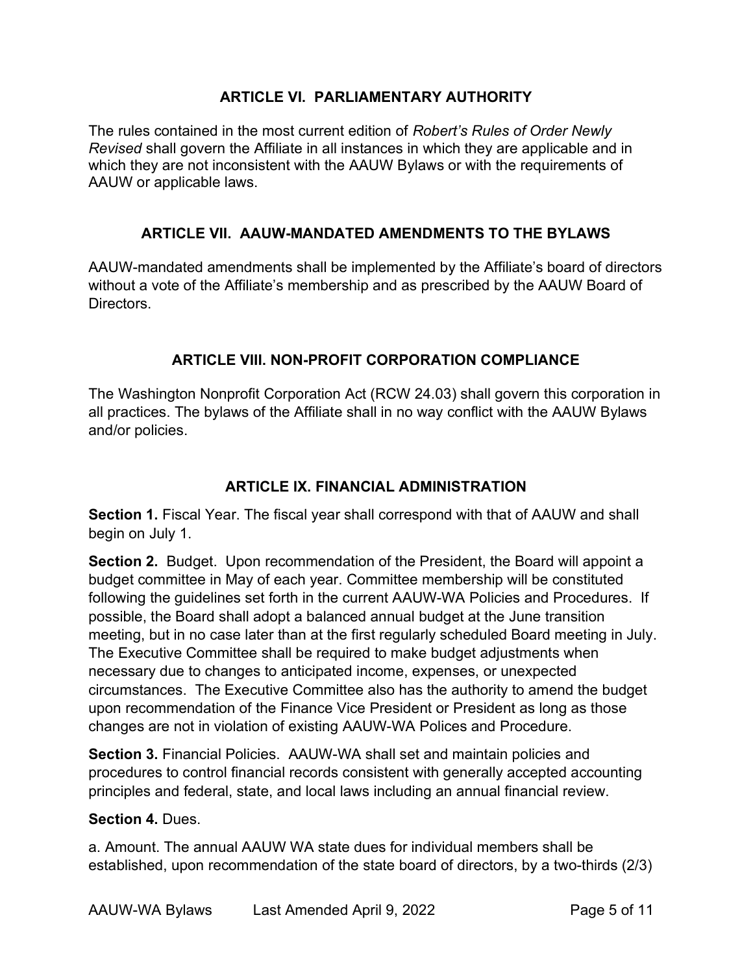#### ARTICLE VI. PARLIAMENTARY AUTHORITY

The rules contained in the most current edition of Robert's Rules of Order Newly Revised shall govern the Affiliate in all instances in which they are applicable and in which they are not inconsistent with the AAUW Bylaws or with the requirements of AAUW or applicable laws.

## ARTICLE VII. AAUW-MANDATED AMENDMENTS TO THE BYLAWS

AAUW-mandated amendments shall be implemented by the Affiliate's board of directors without a vote of the Affiliate's membership and as prescribed by the AAUW Board of Directors.

## ARTICLE VIII. NON-PROFIT CORPORATION COMPLIANCE

The Washington Nonprofit Corporation Act (RCW 24.03) shall govern this corporation in all practices. The bylaws of the Affiliate shall in no way conflict with the AAUW Bylaws and/or policies.

## ARTICLE IX. FINANCIAL ADMINISTRATION

Section 1. Fiscal Year. The fiscal year shall correspond with that of AAUW and shall begin on July 1.

Section 2. Budget. Upon recommendation of the President, the Board will appoint a budget committee in May of each year. Committee membership will be constituted following the guidelines set forth in the current AAUW-WA Policies and Procedures. If possible, the Board shall adopt a balanced annual budget at the June transition meeting, but in no case later than at the first regularly scheduled Board meeting in July. The Executive Committee shall be required to make budget adjustments when necessary due to changes to anticipated income, expenses, or unexpected circumstances. The Executive Committee also has the authority to amend the budget upon recommendation of the Finance Vice President or President as long as those changes are not in violation of existing AAUW-WA Polices and Procedure.

Section 3. Financial Policies. AAUW-WA shall set and maintain policies and procedures to control financial records consistent with generally accepted accounting principles and federal, state, and local laws including an annual financial review.

#### Section 4. Dues.

a. Amount. The annual AAUW WA state dues for individual members shall be established, upon recommendation of the state board of directors, by a two-thirds (2/3)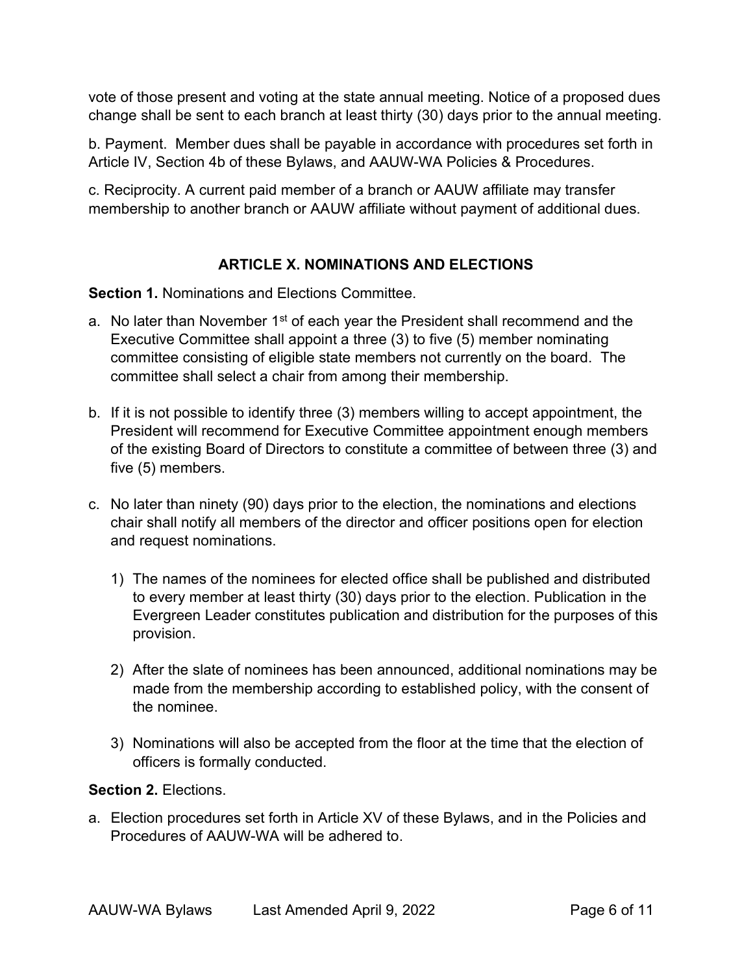vote of those present and voting at the state annual meeting. Notice of a proposed dues change shall be sent to each branch at least thirty (30) days prior to the annual meeting.

b. Payment. Member dues shall be payable in accordance with procedures set forth in Article IV, Section 4b of these Bylaws, and AAUW-WA Policies & Procedures.

c. Reciprocity. A current paid member of a branch or AAUW affiliate may transfer membership to another branch or AAUW affiliate without payment of additional dues.

## ARTICLE X. NOMINATIONS AND ELECTIONS

Section 1. Nominations and Elections Committee.

- a. No later than November  $1<sup>st</sup>$  of each year the President shall recommend and the Executive Committee shall appoint a three (3) to five (5) member nominating committee consisting of eligible state members not currently on the board. The committee shall select a chair from among their membership.
- b. If it is not possible to identify three (3) members willing to accept appointment, the President will recommend for Executive Committee appointment enough members of the existing Board of Directors to constitute a committee of between three (3) and five (5) members.
- c. No later than ninety (90) days prior to the election, the nominations and elections chair shall notify all members of the director and officer positions open for election and request nominations.
	- 1) The names of the nominees for elected office shall be published and distributed to every member at least thirty (30) days prior to the election. Publication in the Evergreen Leader constitutes publication and distribution for the purposes of this provision.
	- 2) After the slate of nominees has been announced, additional nominations may be made from the membership according to established policy, with the consent of the nominee.
	- 3) Nominations will also be accepted from the floor at the time that the election of officers is formally conducted.

## Section 2. Elections.

a. Election procedures set forth in Article XV of these Bylaws, and in the Policies and Procedures of AAUW-WA will be adhered to.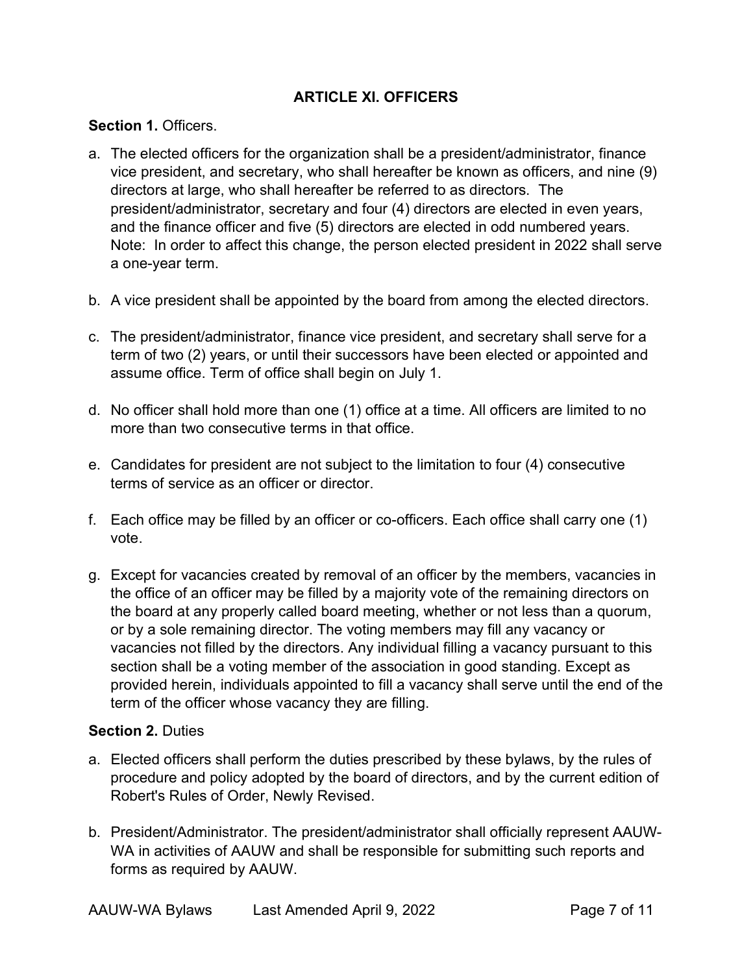## ARTICLE XI. OFFICERS

#### Section 1. Officers.

- a. The elected officers for the organization shall be a president/administrator, finance vice president, and secretary, who shall hereafter be known as officers, and nine (9) directors at large, who shall hereafter be referred to as directors. The president/administrator, secretary and four (4) directors are elected in even years, and the finance officer and five (5) directors are elected in odd numbered years. Note: In order to affect this change, the person elected president in 2022 shall serve a one-year term.
- b. A vice president shall be appointed by the board from among the elected directors.
- c. The president/administrator, finance vice president, and secretary shall serve for a term of two (2) years, or until their successors have been elected or appointed and assume office. Term of office shall begin on July 1.
- d. No officer shall hold more than one (1) office at a time. All officers are limited to no more than two consecutive terms in that office.
- e. Candidates for president are not subject to the limitation to four (4) consecutive terms of service as an officer or director.
- f. Each office may be filled by an officer or co-officers. Each office shall carry one (1) vote.
- g. Except for vacancies created by removal of an officer by the members, vacancies in the office of an officer may be filled by a majority vote of the remaining directors on the board at any properly called board meeting, whether or not less than a quorum, or by a sole remaining director. The voting members may fill any vacancy or vacancies not filled by the directors. Any individual filling a vacancy pursuant to this section shall be a voting member of the association in good standing. Except as provided herein, individuals appointed to fill a vacancy shall serve until the end of the term of the officer whose vacancy they are filling.

#### Section 2. Duties

- a. Elected officers shall perform the duties prescribed by these bylaws, by the rules of procedure and policy adopted by the board of directors, and by the current edition of Robert's Rules of Order, Newly Revised.
- b. President/Administrator. The president/administrator shall officially represent AAUW-WA in activities of AAUW and shall be responsible for submitting such reports and forms as required by AAUW.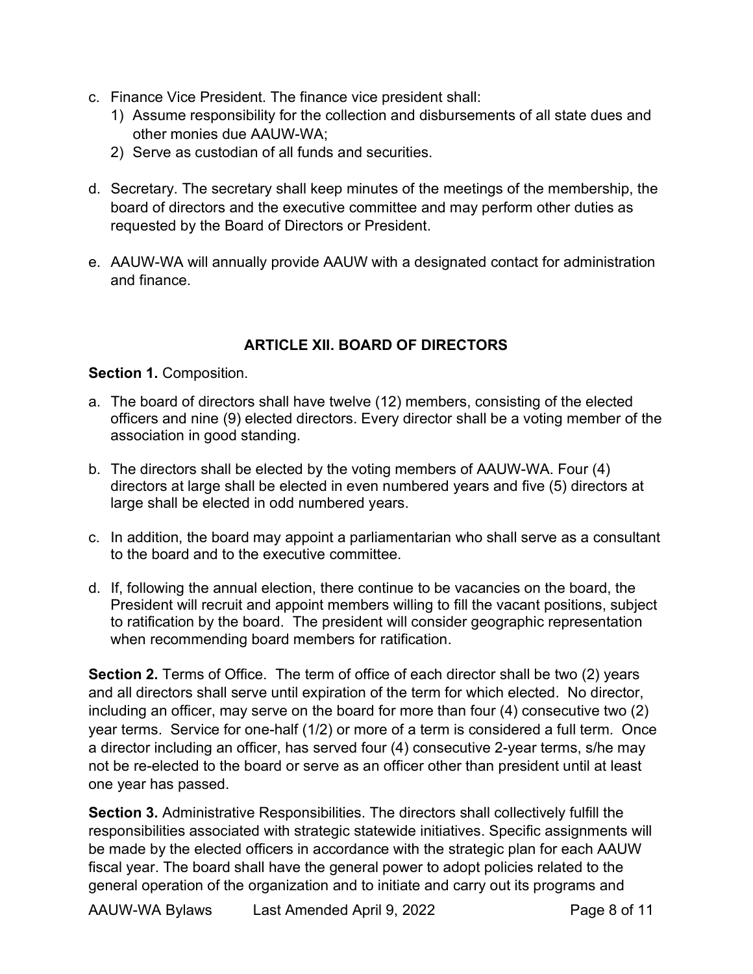- c. Finance Vice President. The finance vice president shall:
	- 1) Assume responsibility for the collection and disbursements of all state dues and other monies due AAUW-WA;
	- 2) Serve as custodian of all funds and securities.
- d. Secretary. The secretary shall keep minutes of the meetings of the membership, the board of directors and the executive committee and may perform other duties as requested by the Board of Directors or President.
- e. AAUW-WA will annually provide AAUW with a designated contact for administration and finance.

# ARTICLE XII. BOARD OF DIRECTORS

## Section 1. Composition.

- a. The board of directors shall have twelve (12) members, consisting of the elected officers and nine (9) elected directors. Every director shall be a voting member of the association in good standing.
- b. The directors shall be elected by the voting members of AAUW-WA. Four (4) directors at large shall be elected in even numbered years and five (5) directors at large shall be elected in odd numbered years.
- c. In addition, the board may appoint a parliamentarian who shall serve as a consultant to the board and to the executive committee.
- d. If, following the annual election, there continue to be vacancies on the board, the President will recruit and appoint members willing to fill the vacant positions, subject to ratification by the board. The president will consider geographic representation when recommending board members for ratification.

Section 2. Terms of Office. The term of office of each director shall be two (2) years and all directors shall serve until expiration of the term for which elected. No director, including an officer, may serve on the board for more than four (4) consecutive two (2) year terms. Service for one-half (1/2) or more of a term is considered a full term. Once a director including an officer, has served four (4) consecutive 2-year terms, s/he may not be re-elected to the board or serve as an officer other than president until at least one year has passed.

Section 3. Administrative Responsibilities. The directors shall collectively fulfill the responsibilities associated with strategic statewide initiatives. Specific assignments will be made by the elected officers in accordance with the strategic plan for each AAUW fiscal year. The board shall have the general power to adopt policies related to the general operation of the organization and to initiate and carry out its programs and

AAUW-WA Bylaws Last Amended April 9, 2022 Page 8 of 11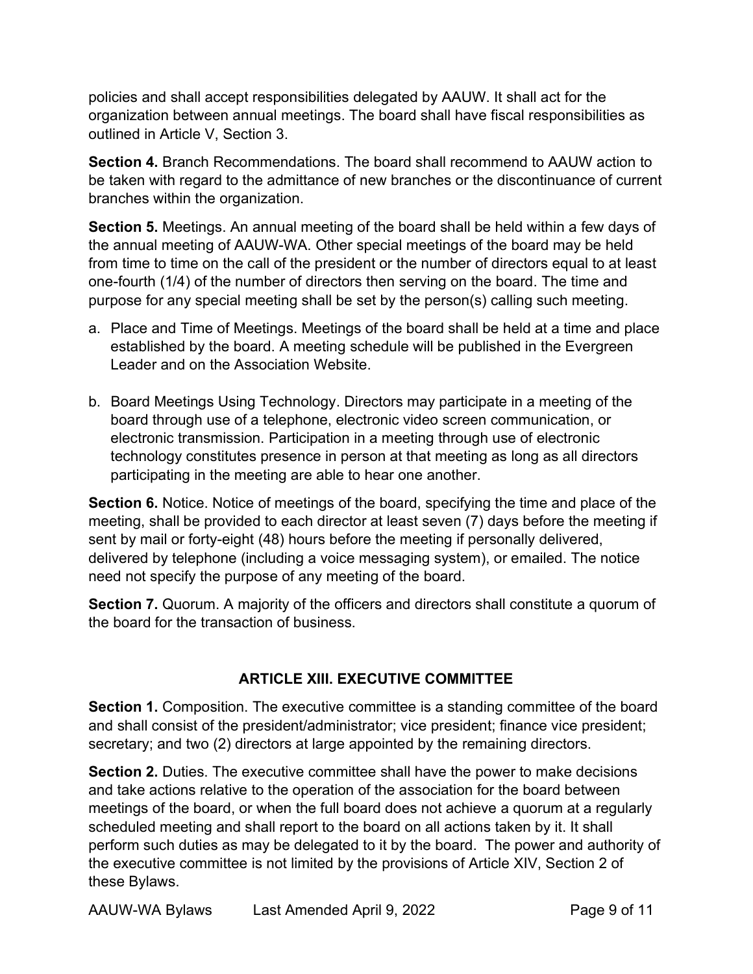policies and shall accept responsibilities delegated by AAUW. It shall act for the organization between annual meetings. The board shall have fiscal responsibilities as outlined in Article V, Section 3.

Section 4. Branch Recommendations. The board shall recommend to AAUW action to be taken with regard to the admittance of new branches or the discontinuance of current branches within the organization.

Section 5. Meetings. An annual meeting of the board shall be held within a few days of the annual meeting of AAUW-WA. Other special meetings of the board may be held from time to time on the call of the president or the number of directors equal to at least one-fourth (1/4) of the number of directors then serving on the board. The time and purpose for any special meeting shall be set by the person(s) calling such meeting.

- a. Place and Time of Meetings. Meetings of the board shall be held at a time and place established by the board. A meeting schedule will be published in the Evergreen Leader and on the Association Website.
- b. Board Meetings Using Technology. Directors may participate in a meeting of the board through use of a telephone, electronic video screen communication, or electronic transmission. Participation in a meeting through use of electronic technology constitutes presence in person at that meeting as long as all directors participating in the meeting are able to hear one another.

Section 6. Notice. Notice of meetings of the board, specifying the time and place of the meeting, shall be provided to each director at least seven (7) days before the meeting if sent by mail or forty-eight (48) hours before the meeting if personally delivered, delivered by telephone (including a voice messaging system), or emailed. The notice need not specify the purpose of any meeting of the board.

Section 7. Quorum. A majority of the officers and directors shall constitute a quorum of the board for the transaction of business.

# ARTICLE XIII. EXECUTIVE COMMITTEE

Section 1. Composition. The executive committee is a standing committee of the board and shall consist of the president/administrator; vice president; finance vice president; secretary; and two (2) directors at large appointed by the remaining directors.

Section 2. Duties. The executive committee shall have the power to make decisions and take actions relative to the operation of the association for the board between meetings of the board, or when the full board does not achieve a quorum at a regularly scheduled meeting and shall report to the board on all actions taken by it. It shall perform such duties as may be delegated to it by the board. The power and authority of the executive committee is not limited by the provisions of Article XIV, Section 2 of these Bylaws.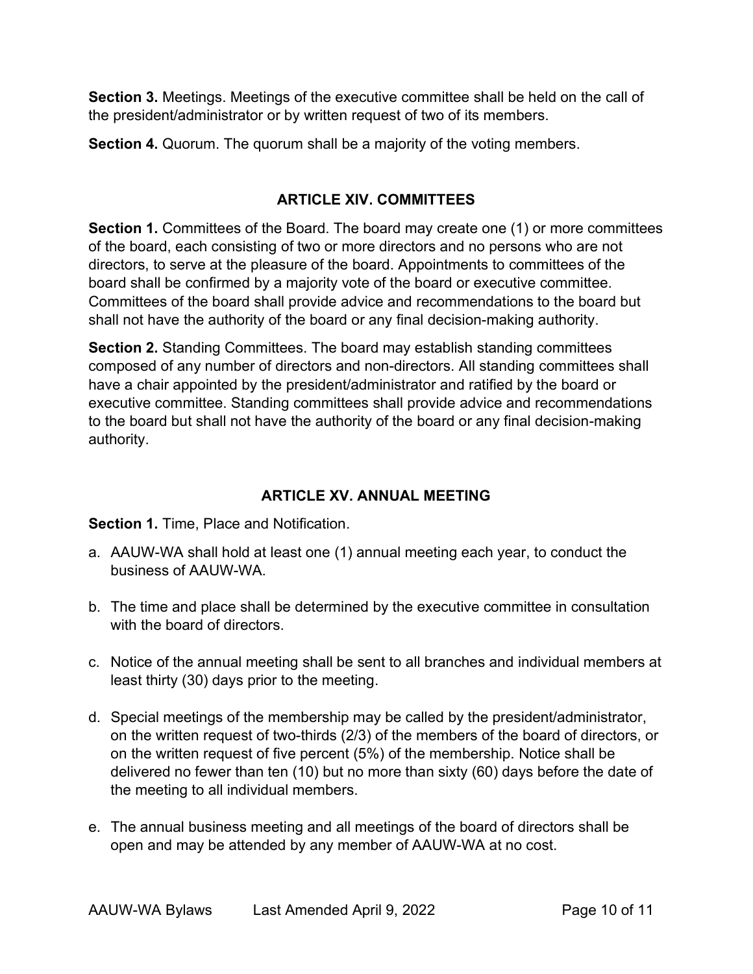Section 3. Meetings. Meetings of the executive committee shall be held on the call of the president/administrator or by written request of two of its members.

Section 4. Quorum. The quorum shall be a majority of the voting members.

# ARTICLE XIV. COMMITTEES

Section 1. Committees of the Board. The board may create one (1) or more committees of the board, each consisting of two or more directors and no persons who are not directors, to serve at the pleasure of the board. Appointments to committees of the board shall be confirmed by a majority vote of the board or executive committee. Committees of the board shall provide advice and recommendations to the board but shall not have the authority of the board or any final decision-making authority.

Section 2. Standing Committees. The board may establish standing committees composed of any number of directors and non-directors. All standing committees shall have a chair appointed by the president/administrator and ratified by the board or executive committee. Standing committees shall provide advice and recommendations to the board but shall not have the authority of the board or any final decision-making authority.

# ARTICLE XV. ANNUAL MEETING

## Section 1. Time, Place and Notification.

- a. AAUW-WA shall hold at least one (1) annual meeting each year, to conduct the business of AAUW-WA.
- b. The time and place shall be determined by the executive committee in consultation with the board of directors.
- c. Notice of the annual meeting shall be sent to all branches and individual members at least thirty (30) days prior to the meeting.
- d. Special meetings of the membership may be called by the president/administrator, on the written request of two-thirds (2/3) of the members of the board of directors, or on the written request of five percent (5%) of the membership. Notice shall be delivered no fewer than ten (10) but no more than sixty (60) days before the date of the meeting to all individual members.
- e. The annual business meeting and all meetings of the board of directors shall be open and may be attended by any member of AAUW-WA at no cost.